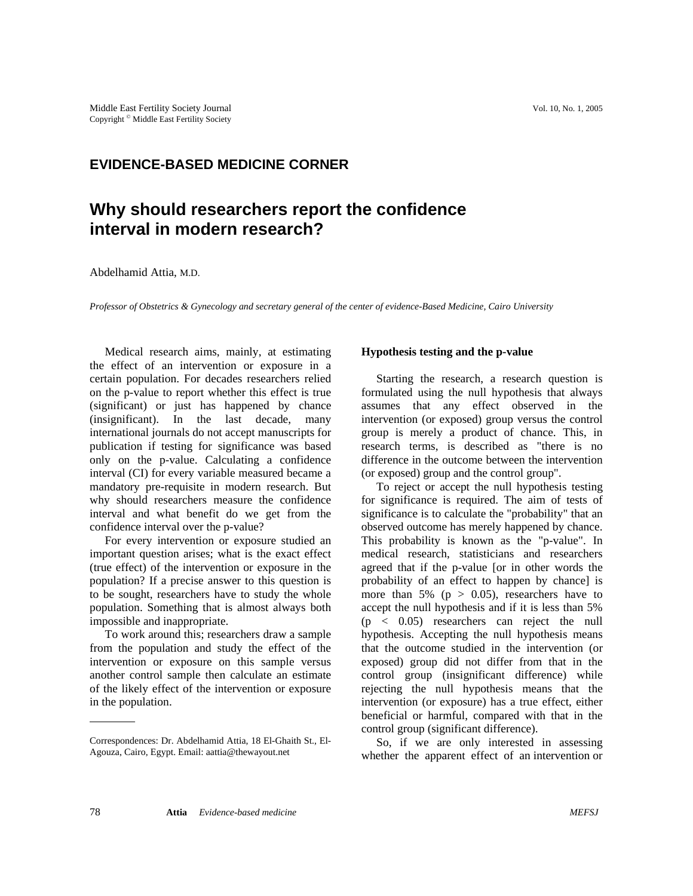## **EVIDENCE-BASED MEDICINE CORNER**

# **Why should researchers report the confidence interval in modern research?**

Abdelhamid Attia, M.D.

*Professor of Obstetrics & Gynecology and secretary general of the center of evidence-Based Medicine, Cairo University* 

Medical research aims, mainly, at estimating the effect of an intervention or exposure in a certain population. For decades researchers relied on the p-value to report whether this effect is true (significant) or just has happened by chance (insignificant). In the last decade, many international journals do not accept manuscripts for publication if testing for significance was based only on the p-value. Calculating a confidence interval (CI) for every variable measured became a mandatory pre-requisite in modern research. But why should researchers measure the confidence interval and what benefit do we get from the confidence interval over the p-value?

For every intervention or exposure studied an important question arises; what is the exact effect (true effect) of the intervention or exposure in the population? If a precise answer to this question is to be sought, researchers have to study the whole population. Something that is almost always both impossible and inappropriate.

To work around this; researchers draw a sample from the population and study the effect of the intervention or exposure on this sample versus another control sample then calculate an estimate of the likely effect of the intervention or exposure in the population.

### **Hypothesis testing and the p-value**

Starting the research, a research question is formulated using the null hypothesis that always assumes that any effect observed in the intervention (or exposed) group versus the control group is merely a product of chance. This, in research terms, is described as "there is no difference in the outcome between the intervention (or exposed) group and the control group".

To reject or accept the null hypothesis testing for significance is required. The aim of tests of significance is to calculate the "probability" that an observed outcome has merely happened by chance. This probability is known as the "p-value". In medical research, statisticians and researchers agreed that if the p-value [or in other words the probability of an effect to happen by chance] is more than 5% ( $p > 0.05$ ), researchers have to accept the null hypothesis and if it is less than 5% (p < 0.05) researchers can reject the null hypothesis. Accepting the null hypothesis means that the outcome studied in the intervention (or exposed) group did not differ from that in the control group (insignificant difference) while rejecting the null hypothesis means that the intervention (or exposure) has a true effect, either beneficial or harmful, compared with that in the control group (significant difference).

So, if we are only interested in assessing whether the apparent effect of an intervention or

Correspondences: Dr. Abdelhamid Attia, 18 El-Ghaith St., El-Agouza, Cairo, Egypt. Email: aattia@thewayout.net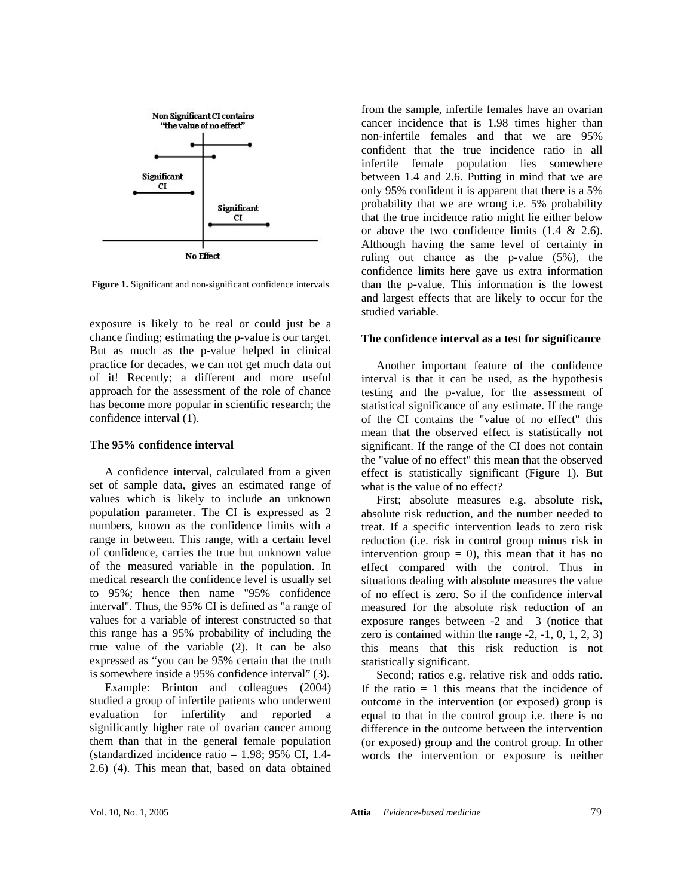

**Figure 1.** Significant and non-significant confidence intervals

exposure is likely to be real or could just be a chance finding; estimating the p-value is our target. But as much as the p-value helped in clinical practice for decades, we can not get much data out of it! Recently; a different and more useful approach for the assessment of the role of chance has become more popular in scientific research; the confidence interval (1).

#### **The 95% confidence interval**

A confidence interval, calculated from a given set of sample data, gives an estimated range of values which is likely to include an unknown population parameter. The CI is expressed as 2 numbers, known as the confidence limits with a range in between. This range, with a certain level of confidence, carries the true but unknown value of the measured variable in the population. In medical research the confidence level is usually set to 95%; hence then name "95% confidence interval". Thus, the 95% CI is defined as "a range of values for a variable of interest constructed so that this range has a 95% probability of including the true value of the variable (2). It can be also expressed as "you can be 95% certain that the truth is somewhere inside a 95% confidence interval" (3).

Example: Brinton and colleagues (2004) studied a group of infertile patients who underwent evaluation for infertility and reported a significantly higher rate of ovarian cancer among them than that in the general female population (standardized incidence ratio  $= 1.98$ ; 95% CI, 1.4-2.6) (4). This mean that, based on data obtained from the sample, infertile females have an ovarian cancer incidence that is 1.98 times higher than non-infertile females and that we are 95% confident that the true incidence ratio in all infertile female population lies somewhere between 1.4 and 2.6. Putting in mind that we are only 95% confident it is apparent that there is a 5% probability that we are wrong i.e. 5% probability that the true incidence ratio might lie either below or above the two confidence limits  $(1.4 \& 2.6)$ . Although having the same level of certainty in ruling out chance as the p-value (5%), the confidence limits here gave us extra information than the p-value. This information is the lowest and largest effects that are likely to occur for the studied variable.

#### **The confidence interval as a test for significance**

Another important feature of the confidence interval is that it can be used, as the hypothesis testing and the p-value, for the assessment of statistical significance of any estimate. If the range of the CI contains the "value of no effect" this mean that the observed effect is statistically not significant. If the range of the CI does not contain the "value of no effect" this mean that the observed effect is statistically significant (Figure 1). But what is the value of no effect?

First; absolute measures e.g. absolute risk, absolute risk reduction, and the number needed to treat. If a specific intervention leads to zero risk reduction (i.e. risk in control group minus risk in intervention group  $= 0$ ), this mean that it has no effect compared with the control. Thus in situations dealing with absolute measures the value of no effect is zero. So if the confidence interval measured for the absolute risk reduction of an exposure ranges between  $-2$  and  $+3$  (notice that zero is contained within the range  $-2$ ,  $-1$ ,  $0$ ,  $1$ ,  $2$ ,  $3$ ) this means that this risk reduction is not statistically significant.

Second; ratios e.g. relative risk and odds ratio. If the ratio  $= 1$  this means that the incidence of outcome in the intervention (or exposed) group is equal to that in the control group i.e. there is no difference in the outcome between the intervention (or exposed) group and the control group. In other words the intervention or exposure is neither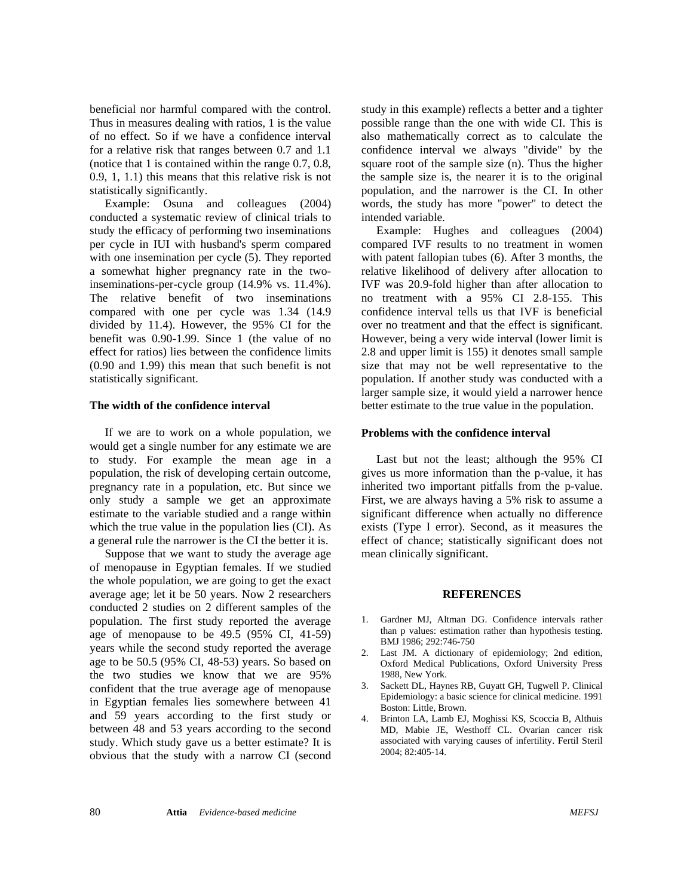beneficial nor harmful compared with the control. Thus in measures dealing with ratios, 1 is the value of no effect. So if we have a confidence interval for a relative risk that ranges between 0.7 and 1.1 (notice that 1 is contained within the range 0.7, 0.8, 0.9, 1, 1.1) this means that this relative risk is not statistically significantly.

Example: Osuna and colleagues (2004) conducted a systematic review of clinical trials to study the efficacy of performing two inseminations per cycle in IUI with husband's sperm compared with one insemination per cycle (5). They reported a somewhat higher pregnancy rate in the twoinseminations-per-cycle group (14.9% vs. 11.4%). The relative benefit of two inseminations compared with one per cycle was 1.34 (14.9 divided by 11.4). However, the 95% CI for the benefit was 0.90-1.99. Since 1 (the value of no effect for ratios) lies between the confidence limits (0.90 and 1.99) this mean that such benefit is not statistically significant.

#### **The width of the confidence interval**

If we are to work on a whole population, we would get a single number for any estimate we are to study. For example the mean age in a population, the risk of developing certain outcome, pregnancy rate in a population, etc. But since we only study a sample we get an approximate estimate to the variable studied and a range within which the true value in the population lies (CI). As a general rule the narrower is the CI the better it is.

Suppose that we want to study the average age of menopause in Egyptian females. If we studied the whole population, we are going to get the exact average age; let it be 50 years. Now 2 researchers conducted 2 studies on 2 different samples of the population. The first study reported the average age of menopause to be 49.5 (95% CI, 41-59) years while the second study reported the average age to be 50.5 (95% CI, 48-53) years. So based on the two studies we know that we are 95% confident that the true average age of menopause in Egyptian females lies somewhere between 41 and 59 years according to the first study or between 48 and 53 years according to the second study. Which study gave us a better estimate? It is obvious that the study with a narrow CI (second study in this example) reflects a better and a tighter possible range than the one with wide CI. This is also mathematically correct as to calculate the confidence interval we always "divide" by the square root of the sample size (n). Thus the higher the sample size is, the nearer it is to the original population, and the narrower is the CI. In other words, the study has more "power" to detect the intended variable.

Example: Hughes and colleagues (2004) compared IVF results to no treatment in women with patent fallopian tubes (6). After 3 months, the relative likelihood of delivery after allocation to IVF was 20.9-fold higher than after allocation to no treatment with a 95% CI 2.8-155. This confidence interval tells us that IVF is beneficial over no treatment and that the effect is significant. However, being a very wide interval (lower limit is 2.8 and upper limit is 155) it denotes small sample size that may not be well representative to the population. If another study was conducted with a larger sample size, it would yield a narrower hence better estimate to the true value in the population.

#### **Problems with the confidence interval**

Last but not the least; although the 95% CI gives us more information than the p-value, it has inherited two important pitfalls from the p-value. First, we are always having a 5% risk to assume a significant difference when actually no difference exists (Type I error). Second, as it measures the effect of chance; statistically significant does not mean clinically significant.

#### **REFERENCES**

- 1. Gardner MJ, Altman DG. Confidence intervals rather than p values: estimation rather than hypothesis testing. BMJ 1986; 292:746-750
- 2. Last JM. A dictionary of epidemiology; 2nd edition, Oxford Medical Publications, Oxford University Press 1988, New York.
- 3. Sackett DL, Haynes RB, Guyatt GH, Tugwell P. Clinical Epidemiology: a basic science for clinical medicine. 1991 Boston: Little, Brown.
- 4. Brinton LA, Lamb EJ, Moghissi KS, Scoccia B, Althuis MD, Mabie JE, Westhoff CL. Ovarian cancer risk associated with varying causes of infertility. Fertil Steril 2004; 82:405-14.